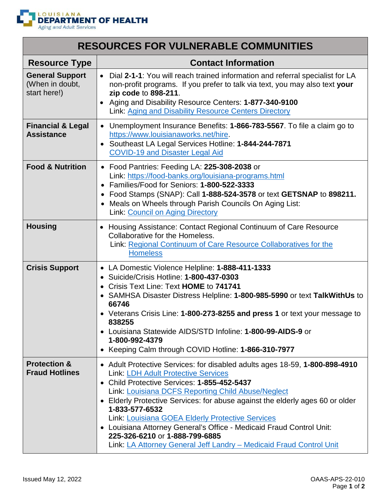

| <b>RESOURCES FOR VULNERABLE COMMUNITIES</b>               |                                                                                                                                                                                                                                                                                                                                                                                                                                                                                                                                                                        |
|-----------------------------------------------------------|------------------------------------------------------------------------------------------------------------------------------------------------------------------------------------------------------------------------------------------------------------------------------------------------------------------------------------------------------------------------------------------------------------------------------------------------------------------------------------------------------------------------------------------------------------------------|
| <b>Resource Type</b>                                      | <b>Contact Information</b>                                                                                                                                                                                                                                                                                                                                                                                                                                                                                                                                             |
| <b>General Support</b><br>(When in doubt,<br>start here!) | • Dial 2-1-1: You will reach trained information and referral specialist for LA<br>non-profit programs. If you prefer to talk via text, you may also text your<br>zip code to 898-211.<br>Aging and Disability Resource Centers: 1-877-340-9100<br>Link: Aging and Disability Resource Centers Directory                                                                                                                                                                                                                                                               |
| <b>Financial &amp; Legal</b><br><b>Assistance</b>         | • Unemployment Insurance Benefits: 1-866-783-5567. To file a claim go to<br>https://www.louisianaworks.net/hire.<br>Southeast LA Legal Services Hotline: 1-844-244-7871<br>$\bullet$<br><b>COVID-19 and Disaster Legal Aid</b>                                                                                                                                                                                                                                                                                                                                         |
| <b>Food &amp; Nutrition</b>                               | • Food Pantries: Feeding LA: 225-308-2038 or<br>Link: https://food-banks.org/louisiana-programs.html<br>• Families/Food for Seniors: 1-800-522-3333<br>• Food Stamps (SNAP): Call 1-888-524-3578 or text GETSNAP to 898211.<br>Meals on Wheels through Parish Councils On Aging List:<br>$\bullet$<br><b>Link: Council on Aging Directory</b>                                                                                                                                                                                                                          |
| <b>Housing</b>                                            | • Housing Assistance: Contact Regional Continuum of Care Resource<br>Collaborative for the Homeless.<br>Link: Regional Continuum of Care Resource Collaboratives for the<br><b>Homeless</b>                                                                                                                                                                                                                                                                                                                                                                            |
| <b>Crisis Support</b>                                     | • LA Domestic Violence Helpline: 1-888-411-1333<br>• Suicide/Crisis Hotline: 1-800-437-0303<br>• Crisis Text Line: Text HOME to 741741<br>• SAMHSA Disaster Distress Helpline: 1-800-985-5990 or text TalkWithUs to<br>66746<br>• Veterans Crisis Line: 1-800-273-8255 and press 1 or text your message to<br>838255<br>• Louisiana Statewide AIDS/STD Infoline: 1-800-99-AIDS-9 or<br>1-800-992-4379<br>• Keeping Calm through COVID Hotline: 1-866-310-7977                                                                                                          |
| <b>Protection &amp;</b><br><b>Fraud Hotlines</b>          | • Adult Protective Services: for disabled adults ages 18-59, 1-800-898-4910<br><b>Link: LDH Adult Protective Services</b><br>• Child Protective Services: 1-855-452-5437<br>Link: Louisiana DCFS Reporting Child Abuse/Neglect<br>• Elderly Protective Services: for abuse against the elderly ages 60 or older<br>1-833-577-6532<br>Link: Louisiana GOEA Elderly Protective Services<br>• Louisiana Attorney General's Office - Medicaid Fraud Control Unit:<br>225-326-6210 or 1-888-799-6885<br>Link: LA Attorney General Jeff Landry - Medicaid Fraud Control Unit |